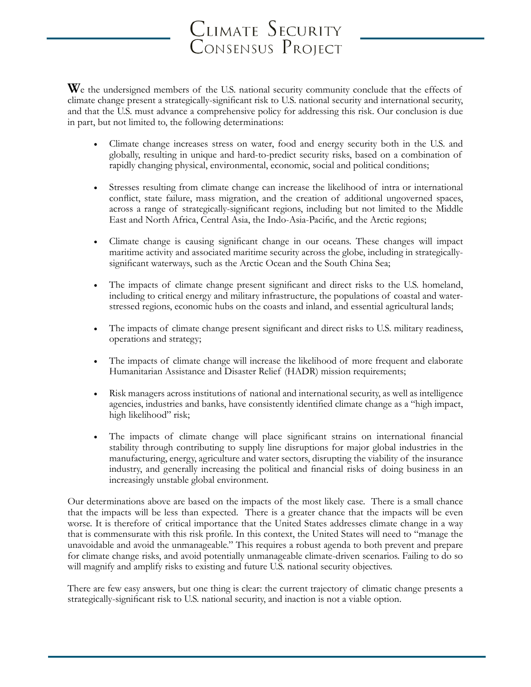# CLIMATE SECURITY<br>Consensus Project

We the undersigned members of the U.S. national security community conclude that the effects of climate change present a strategically-significant risk to U.S. national security and international security, and that the U.S. must advance a comprehensive policy for addressing this risk. Our conclusion is due in part, but not limited to, the following determinations:

- Climate change increases stress on water, food and energy security both in the U.S. and globally, resulting in unique and hard-to-predict security risks, based on a combination of rapidly changing physical, environmental, economic, social and political conditions;
- Stresses resulting from climate change can increase the likelihood of intra or international conflict, state failure, mass migration, and the creation of additional ungoverned spaces, across a range of strategically-significant regions, including but not limited to the Middle East and North Africa, Central Asia, the Indo-Asia-Pacific, and the Arctic regions;
- Climate change is causing significant change in our oceans. These changes will impact maritime activity and associated maritime security across the globe, including in strategicallysignificant waterways, such as the Arctic Ocean and the South China Sea;
- The impacts of climate change present significant and direct risks to the U.S. homeland, including to critical energy and military infrastructure, the populations of coastal and waterstressed regions, economic hubs on the coasts and inland, and essential agricultural lands;
- The impacts of climate change present significant and direct risks to U.S. military readiness, operations and strategy;
- The impacts of climate change will increase the likelihood of more frequent and elaborate Humanitarian Assistance and Disaster Relief (HADR) mission requirements;
- Risk managers across institutions of national and international security, as well as intelligence agencies, industries and banks, have consistently identified climate change as a "high impact, high likelihood" risk;
- The impacts of climate change will place significant strains on international financial stability through contributing to supply line disruptions for major global industries in the manufacturing, energy, agriculture and water sectors, disrupting the viability of the insurance industry, and generally increasing the political and financial risks of doing business in an increasingly unstable global environment.

Our determinations above are based on the impacts of the most likely case. There is a small chance that the impacts will be less than expected. There is a greater chance that the impacts will be even worse. It is therefore of critical importance that the United States addresses climate change in a way that is commensurate with this risk profile. In this context, the United States will need to "manage the unavoidable and avoid the unmanageable." This requires a robust agenda to both prevent and prepare for climate change risks, and avoid potentially unmanageable climate-driven scenarios. Failing to do so will magnify and amplify risks to existing and future U.S. national security objectives.

There are few easy answers, but one thing is clear: the current trajectory of climatic change presents a strategically-significant risk to U.S. national security, and inaction is not a viable option.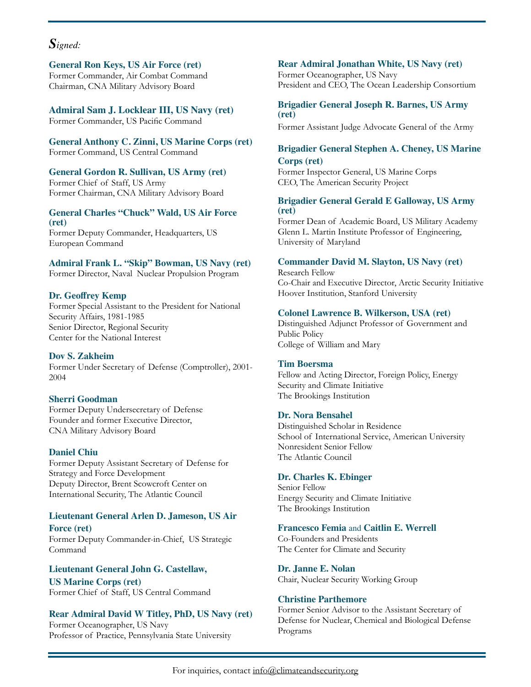## *Signed:*

**General Ron Keys, US Air Force (ret)** Former Commander, Air Combat Command Chairman, CNA Military Advisory Board

**Admiral Sam J. Locklear III, US Navy (ret)** Former Commander, US Pacific Command

**General Anthony C. Zinni, US Marine Corps (ret)** Former Command, US Central Command

**General Gordon R. Sullivan, US Army (ret)** Former Chief of Staff, US Army Former Chairman, CNA Military Advisory Board

# **General Charles "Chuck" Wald, US Air Force (ret)**

Former Deputy Commander, Headquarters, US European Command

#### **Admiral Frank L. "Skip" Bowman, US Navy (ret)**

Former Director, Naval Nuclear Propulsion Program

#### **Dr. Geoffrey Kemp**

Former Special Assistant to the President for National Security Affairs, 1981-1985 Senior Director, Regional Security Center for the National Interest

#### **Dov S. Zakheim**

Former Under Secretary of Defense (Comptroller), 2001- 2004

#### **Sherri Goodman**

Former Deputy Undersecretary of Defense Founder and former Executive Director, CNA Military Advisory Board

#### **Daniel Chiu**

Former Deputy Assistant Secretary of Defense for Strategy and Force Development Deputy Director, Brent Scowcroft Center on International Security, The Atlantic Council

#### **Lieutenant General Arlen D. Jameson, US Air Force (ret)**

Former Deputy Commander-in-Chief, US Strategic Command

**Lieutenant General John G. Castellaw, US Marine Corps (ret)** Former Chief of Staff, US Central Command

#### **Rear Admiral David W Titley, PhD, US Navy (ret)** Former Oceanographer, US Navy Professor of Practice, Pennsylvania State University

### **Rear Admiral Jonathan White, US Navy (ret)**

Former Oceanographer, US Navy President and CEO, The Ocean Leadership Consortium

#### **Brigadier General Joseph R. Barnes, US Army (ret)**

Former Assistant Judge Advocate General of the Army

#### **Brigadier General Stephen A. Cheney, US Marine Corps (ret)**

Former Inspector General, US Marine Corps CEO, The American Security Project

#### **Brigadier General Gerald E Galloway, US Army (ret)**

Former Dean of Academic Board, US Military Academy Glenn L. Martin Institute Professor of Engineering, University of Maryland

#### **Commander David M. Slayton, US Navy (ret)**

Research Fellow Co-Chair and Executive Director, Arctic Security Initiative Hoover Institution, Stanford University

#### **Colonel Lawrence B. Wilkerson, USA (ret)**

Distinguished Adjunct Professor of Government and Public Policy College of William and Mary

#### **Tim Boersma**

Fellow and Acting Director, Foreign Policy, Energy Security and Climate Initiative The Brookings Institution

#### **Dr. Nora Bensahel**

Distinguished Scholar in Residence School of International Service, American University Nonresident Senior Fellow The Atlantic Council

#### **Dr. Charles K. Ebinger**

Senior Fellow Energy Security and Climate Initiative The Brookings Institution

#### **Francesco Femia** and **Caitlin E. Werrell**

Co-Founders and Presidents The Center for Climate and Security

#### **Dr. Janne E. Nolan**

Chair, Nuclear Security Working Group

#### **Christine Parthemore**

Former Senior Advisor to the Assistant Secretary of Defense for Nuclear, Chemical and Biological Defense Programs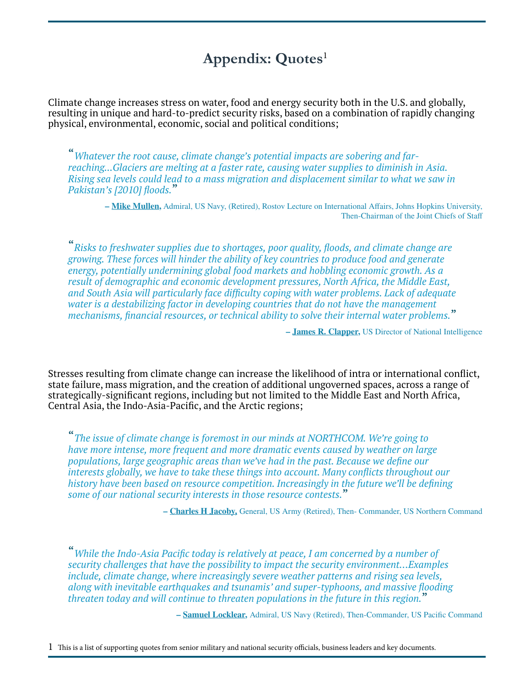# **Appendix: Quotes**[1](#page-2-0)

Climate change increases stress on water, food and energy security both in the U.S. and globally, resulting in unique and hard-to-predict security risks, based on a combination of rapidly changing physical, environmental, economic, social and political conditions;

"*Whatever the root cause, climate change's potential impacts are sobering and farreaching...Glaciers are melting at a faster rate, causing water supplies to diminish in Asia. Rising sea levels could lead to a mass migration and displacement similar to what we saw in Pakistan's [2010] floods.*"

**– [Mike Mullen,](http://archive.defense.gov/news/newsarticle.aspx?id=63393)** Admiral, US Navy, (Retired), Rostov Lecture on International Affairs, Johns Hopkins University, Then-Chairman of the Joint Chiefs of Staff

"*Risks to freshwater supplies due to shortages, poor quality, floods, and climate change are growing. These forces will hinder the ability of key countries to produce food and generate energy, potentially undermining global food markets and hobbling economic growth. As a result of demographic and economic development pressures, North Africa, the Middle East, and South Asia will particularly face difficulty coping with water problems. Lack of adequate water is a destabilizing factor in developing countries that do not have the management mechanisms, financial resources, or technical ability to solve their internal water problems.*"

**– [James R. Clapper](http://climateandsecurity.org/2013/03/13/director-of-national-intelligence-climate-change-in-the-worldwide-threat-assessment/),** US Director of National Intelligence

Stresses resulting from climate change can increase the likelihood of intra or international conflict, state failure, mass migration, and the creation of additional ungoverned spaces, across a range of strategically-significant regions, including but not limited to the Middle East and North Africa, Central Asia, the Indo-Asia-Pacific, and the Arctic regions;

"*The issue of climate change is foremost in our minds at NORTHCOM. We're going to have more intense, more frequent and more dramatic events caused by weather on large populations, large geographic areas than we've had in the past. Because we define our interests globally, we have to take these things into account. Many conflicts throughout our history have been based on resource competition. Increasingly in the future we'll be defining some of our national security interests in those resource contests.*"

**– [Charles H Jacoby,](http://www.climatechangenews.com/2015/06/15/climate-change-the-biggest-economic-risk-facing-the-world/)** General, US Army (Retired), Then- Commander, US Northern Command

"*While the Indo-Asia Pacific today is relatively at peace, I am concerned by a number of security challenges that have the possibility to impact the security environment…Examples include, climate change, where increasingly severe weather patterns and rising sea levels, along with inevitable earthquakes and tsunamis' and super-typhoons, and massive flooding threaten today and will continue to threaten populations in the future in this region.*"

**– [Samuel Locklear,](http://climateandsecurity.org/2013/03/12/admiral-locklear-climate-change-the-biggest-long-term-security-threat-in-the-pacific-region/)** Admiral, US Navy (Retired), Then-Commander, US Pacific Command

<span id="page-2-0"></span>1 This is a list of supporting quotes from senior military and national security officials, business leaders and key documents.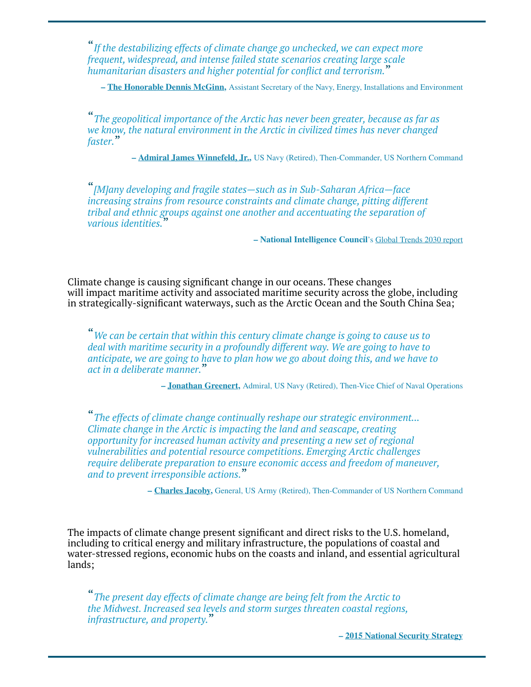"*If the destabilizing effects of climate change go unchecked, we can expect more frequent, widespread, and intense failed state scenarios creating large scale humanitarian disasters and higher potential for conflict and terrorism.*"

**– [The Honorable Dennis McGinn,](http://mediamatters.org/blog/2012/05/30/15-military-leaders-who-say-climate-change-is-a/184705)** Assistant Secretary of the Navy, Energy, Installations and Environment

"*The geopolitical importance of the Arctic has never been greater, because as far as we know, the natural environment in the Arctic in civilized times has never changed faster.*"

**– [Admiral James Winnefeld, Jr.,](http://www.dod.mil/dodgc/olc/docs/testWinnefeld02092011.pdf)** US Navy (Retired), Then-Commander, US Northern Command

"*[M]any developing and fragile states—such as in Sub-Saharan Africa—face increasing strains from resource constraints and climate change, pitting different tribal and ethnic groups against one another and accentuating the separation of various identities.*"

**– National Intelligence Council**'s [Global Trends 2030 report](http://www.dni.gov/files/documents/GlobalTrends_2030.pdf)

Climate change is causing significant change in our oceans. These changes will impact maritime activity and associated maritime security across the globe, including in strategically-significant waterways, such as the Arctic Ocean and the South China Sea;

"*We can be certain that within this century climate change is going to cause us to deal with maritime security in a profoundly different way. We are going to have to anticipate, we are going to have to plan how we go about doing this, and we have to act in a deliberate manner.*"

**– [Jonathan Greenert,](http://www.jhuapl.edu/climateandenergy/Book2011/Authors/Greenert,%20Jonathan.pdf)** Admiral, US Navy (Retired), Then-Vice Chief of Naval Operations

"*The effects of climate change continually reshape our strategic environment... Climate change in the Arctic is impacting the land and seascape, creating opportunity for increased human activity and presenting a new set of regional vulnerabilities and potential resource competitions. Emerging Arctic challenges require deliberate preparation to ensure economic access and freedom of maneuver, and to prevent irresponsible actions.*"

**– [Charles Jacoby,](http://climateandsecurity.org/2012/03/20/the-u-s-geographic-combatant-commanders-on-climate-change/)** General, US Army (Retired), Then-Commander of US Northern Command

The impacts of climate change present significant and direct risks to the U.S. homeland, including to critical energy and military infrastructure, the populations of coastal and water-stressed regions, economic hubs on the coasts and inland, and essential agricultural lands;

"*The present day effects of climate change are being felt from the Arctic to the Midwest. Increased sea levels and storm surges threaten coastal regions, infrastructure, and property.*"

**– [2015 National Security Strategy](https://www.whitehouse.gov/sites/default/files/docs/2015_national_security_strategy.pdf)**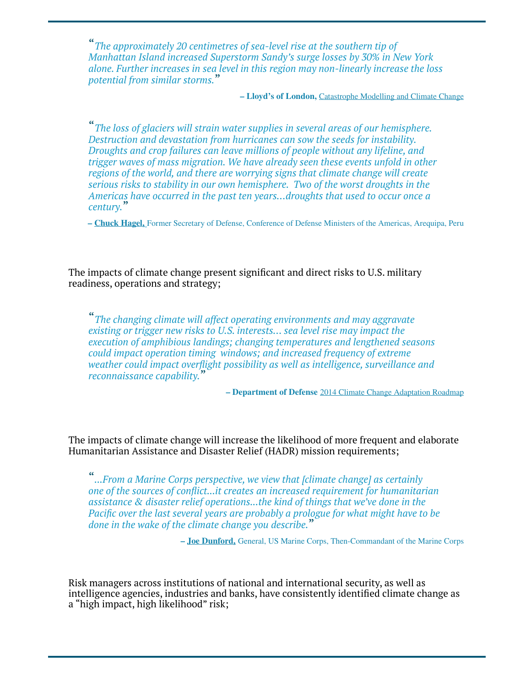"*The approximately 20 centimetres of sea-level rise at the southern tip of Manhattan Island increased Superstorm Sandy's surge losses by 30% in New York alone. Further increases in sea level in this region may non-linearly increase the loss potential from similar storms.*"

**– Lloyd's of London,** [Catastrophe Modelling and Climate Change](http://www.lloyds.com/~/media/Lloyds/Reports/Emerging%20Risk%20Reports/CC%20and%20modelling%20template%20V6.pdf)

"*The loss of glaciers will strain water supplies in several areas of our hemisphere. Destruction and devastation from hurricanes can sow the seeds for instability. Droughts and crop failures can leave millions of people without any lifeline, and trigger waves of mass migration. We have already seen these events unfold in other regions of the world, and there are worrying signs that climate change will create serious risks to stability in our own hemisphere. Two of the worst droughts in the Americas have occurred in the past ten years…droughts that used to occur once a century.*"

**– [Chuck Hagel,](http://www.defense.gov/News/Speeches/Speech-View/Article/605617)** Former Secretary of Defense, Conference of Defense Ministers of the Americas, Arequipa, Peru

The impacts of climate change present significant and direct risks to U.S. military readiness, operations and strategy;

"*The changing climate will affect operating environments and may aggravate existing or trigger new risks to U.S. interests… sea level rise may impact the execution of amphibious landings; changing temperatures and lengthened seasons could impact operation timing windows; and increased frequency of extreme weather could impact overflight possibility as well as intelligence, surveillance and reconnaissance capability.*"

**– Department of Defense** [2014 Climate Change Adaptation Roadmap](http://www.acq.osd.mil/ie/download/CCARprint_wForeword_c.pdf)

The impacts of climate change will increase the likelihood of more frequent and elaborate Humanitarian Assistance and Disaster Relief (HADR) mission requirements;

"*...From a Marine Corps perspective, we view that [climate change] as certainly one of the sources of conflict...it creates an increased requirement for humanitarian assistance & disaster relief operations...the kind of things that we've done in the Pacific over the last several years are probably a prologue for what might have to be done in the wake of the climate change you describe.*"

**– [Joe Dunford,](http://www.navy.mil/navydata/people/cno/Greenert/Testimony/150226%20HAC-D%20Navy%20Budget%20Hearing.pdf)** General, US Marine Corps, Then-Commandant of the Marine Corps

Risk managers across institutions of national and international security, as well as intelligence agencies, industries and banks, have consistently identified climate change as a "high impact, high likelihood" risk;